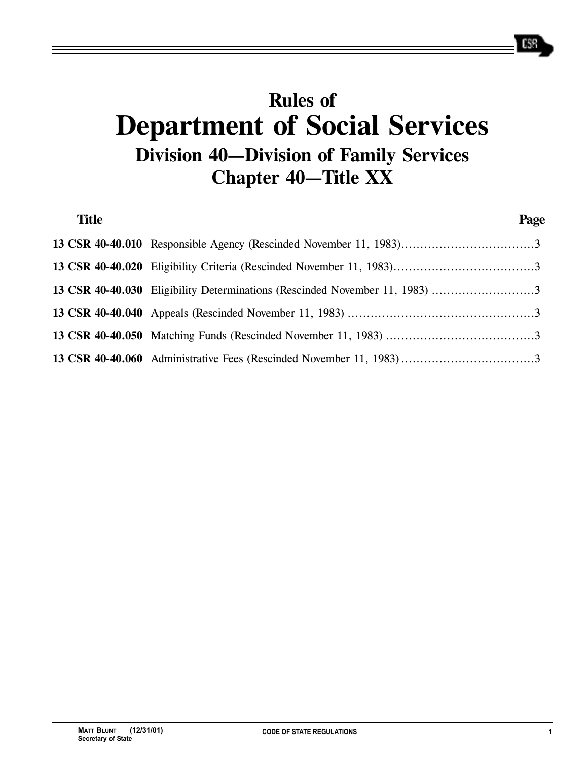# **Rules of Department of Social Services Division 40—Division of Family Services Chapter 40—Title XX**

| <b>Title</b> |                                                                             | Page |
|--------------|-----------------------------------------------------------------------------|------|
|              |                                                                             |      |
|              |                                                                             |      |
|              | 13 CSR 40-40.030 Eligibility Determinations (Rescinded November 11, 1983) 3 |      |
|              |                                                                             |      |
|              |                                                                             |      |
|              | 13 CSR 40-40.060 Administrative Fees (Rescinded November 11, 1983)3         |      |

658